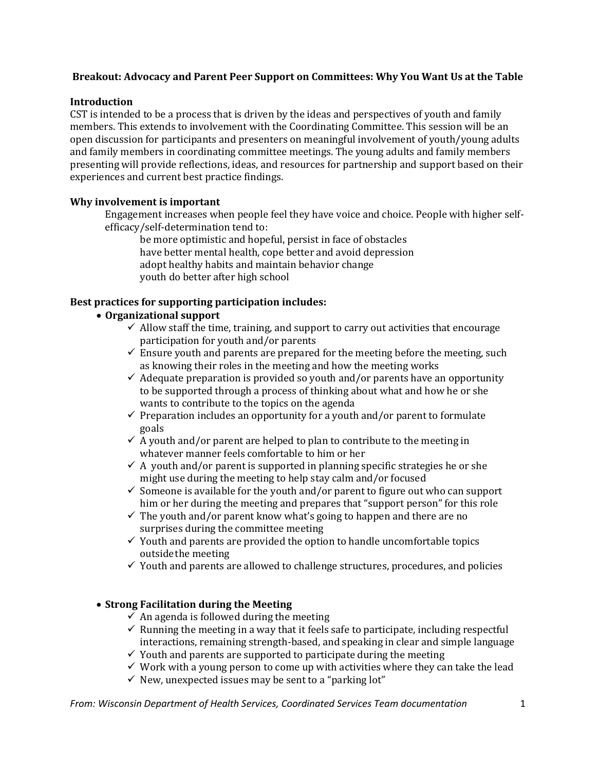# **Breakout: Advocacy and Parent Peer Support on Committees: Why You Want Us at the Table**

#### **Introduction**

CST is intended to be a process that is driven by the ideas and perspectives of youth and family members. This extends to involvement with the Coordinating Committee. This session will be an open discussion for participants and presenters on meaningful involvement of youth/young adults and family members in coordinating committee meetings. The young adults and family members presenting will provide reflections, ideas, and resources for partnership and support based on their experiences and current best practice findings.

#### **Why involvement is important**

Engagement increases when people feel they have voice and choice. People with higher selfefficacy/self-determination tend to:

be more optimistic and hopeful, persist in face of obstacles have better mental health, cope better and avoid depression adopt healthy habits and maintain behavior change youth do better after high school

# **Best practices for supporting participation includes:**

# **Organizational support**

- $\checkmark$  Allow staff the time, training, and support to carry out activities that encourage participation for youth and/or parents
- $\checkmark$  Ensure youth and parents are prepared for the meeting before the meeting, such as knowing their roles in the meeting and how the meeting works
- $\checkmark$  Adequate preparation is provided so youth and/or parents have an opportunity to be supported through a process of thinking about what and how he or she wants to contribute to the topics on the agenda
- $\checkmark$  Preparation includes an opportunity for a youth and/or parent to formulate goals
- $\checkmark$  A youth and/or parent are helped to plan to contribute to the meeting in whatever manner feels comfortable to him or her
- $\checkmark$  A youth and/or parent is supported in planning specific strategies he or she might use during the meeting to help stay calm and/or focused
- $\checkmark$  Someone is available for the youth and/or parent to figure out who can support him or her during the meeting and prepares that "support person" for this role
- $\checkmark$  The youth and/or parent know what's going to happen and there are no surprises during the committee meeting
- $\checkmark$  Youth and parents are provided the option to handle uncomfortable topics outsidethe meeting
- $\checkmark$  Youth and parents are allowed to challenge structures, procedures, and policies

# **Strong Facilitation during the Meeting**

- $\checkmark$  An agenda is followed during the meeting
- $\checkmark$  Running the meeting in a way that it feels safe to participate, including respectful interactions, remaining strength-based, and speaking in clear and simple language
- $\checkmark$  Youth and parents are supported to participate during the meeting
- $\checkmark$  Work with a young person to come up with activities where they can take the lead
- $\checkmark$  New, unexpected issues may be sent to a "parking lot"